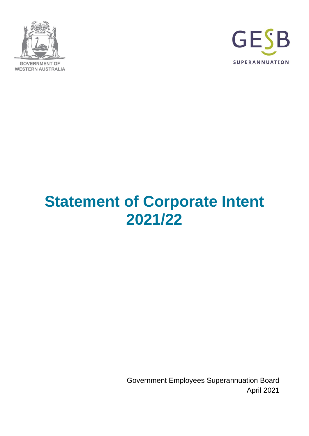



# **Statement of Corporate Intent 2021/22**

Government Employees Superannuation Board April 2021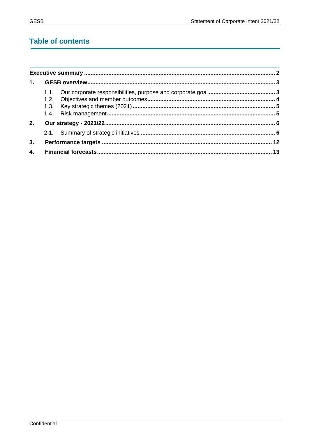# **Table of contents**

| 1. |  |
|----|--|
|    |  |
| 2. |  |
|    |  |
| 3. |  |
| 4. |  |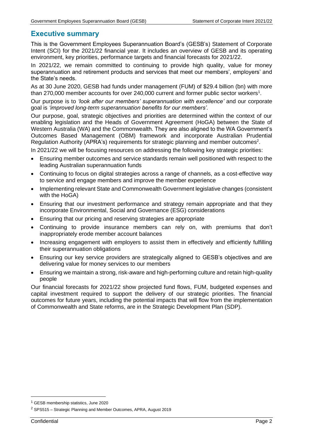# <span id="page-2-0"></span>**Executive summary**

This is the Government Employees Superannuation Board's (GESB's) Statement of Corporate Intent (SCI) for the 2021/22 financial year. It includes an overview of GESB and its operating environment, key priorities, performance targets and financial forecasts for 2021/22.

In 2021/22, we remain committed to continuing to provide high quality, value for money superannuation and retirement products and services that meet our members', employers' and the State's needs.

As at 30 June 2020, GESB had funds under management (FUM) of \$29.4 billion (bn) with more than 270,000 member accounts for over 240,000 current and former public sector workers<sup>1</sup>.

Our purpose is to *'look after our members' superannuation with excellence'* and our corporate goal is *'improved long-term superannuation benefits for our members'.*

Our purpose, goal, strategic objectives and priorities are determined within the context of our enabling legislation and the Heads of Government Agreement (HoGA) between the State of Western Australia (WA) and the Commonwealth. They are also aligned to the WA Government's Outcomes Based Management (OBM) framework and incorporate Australian Prudential Regulation Authority (APRA's) requirements for strategic planning and member outcomes<sup>2</sup>.

In 2021/22 we will be focusing resources on addressing the following key strategic priorities:

- Ensuring member outcomes and service standards remain well positioned with respect to the leading Australian superannuation funds
- Continuing to focus on digital strategies across a range of channels, as a cost-effective way to service and engage members and improve the member experience
- Implementing relevant State and Commonwealth Government legislative changes (consistent with the HoGA)
- Ensuring that our investment performance and strategy remain appropriate and that they incorporate Environmental, Social and Governance (ESG) considerations
- Ensuring that our pricing and reserving strategies are appropriate
- Continuing to provide insurance members can rely on, with premiums that don't inappropriately erode member account balances
- Increasing engagement with employers to assist them in effectively and efficiently fulfilling their superannuation obligations
- Ensuring our key service providers are strategically aligned to GESB's objectives and are delivering value for money services to our members
- Ensuring we maintain a strong, risk-aware and high-performing culture and retain high-quality people

Our financial forecasts for 2021/22 show projected fund flows, FUM, budgeted expenses and capital investment required to support the delivery of our strategic priorities. The financial outcomes for future years, including the potential impacts that will flow from the implementation of Commonwealth and State reforms, are in the Strategic Development Plan (SDP).

<sup>1</sup> GESB membership statistics, June 2020

<sup>2</sup> SPS515 – Strategic Planning and Member Outcomes, APRA, August 2019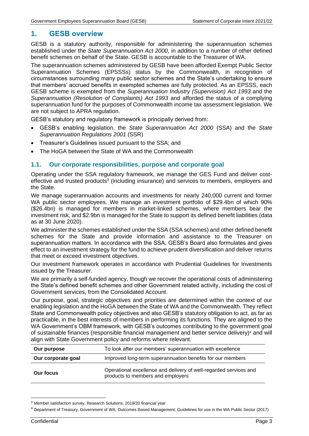# <span id="page-3-0"></span>**1. GESB overview**

GESB is a statutory authority, responsible for administering the superannuation schemes established under the *State Superannuation Act 2000*, in addition to a number of other defined benefit schemes on behalf of the State. GESB is accountable to the Treasurer of WA.

The superannuation schemes administered by GESB have been afforded Exempt Public Sector Superannuation Schemes (EPSSSs) status by the Commonwealth, in recognition of circumstances surrounding many public sector schemes and the State's undertaking to ensure that members' accrued benefits in exempted schemes are fully protected. As an EPSSS, each GESB scheme is exempted from the *Superannuation Industry (Supervision) Act 1993* and the *Superannuation (Resolution of Complaints) Act 1993* and afforded the status of a complying superannuation fund for the purposes of Commonwealth income tax assessment legislation. We are not subject to APRA regulation.

GESB's statutory and regulatory framework is principally derived from:

- GESB's enabling legislation, the *State Superannuation Act 2000* (SSA) and the *State Superannuation Regulations 2001* (SSR)
- Treasurer's Guidelines issued pursuant to the SSA; and
- The HoGA between the State of WA and the Commonwealth

#### <span id="page-3-1"></span>**1.1. Our corporate responsibilities, purpose and corporate goal**

Operating under the SSA regulatory framework, we manage the GES Fund and deliver costeffective and trusted products<sup>3</sup> (including insurance) and services to members, employers and the State.

We manage superannuation accounts and investments for nearly 240,000 current and former WA public sector employees. We manage an investment portfolio of \$29.4bn of which 90% (\$26.4bn) is managed for members in market-linked schemes, where members bear the investment risk, and \$2.9bn is managed for the State to support its defined benefit liabilities (data as at 30 June 2020).

We administer the schemes established under the SSA (SSA schemes) and other defined benefit schemes for the State and provide information and assistance to the Treasurer on superannuation matters. In accordance with the SSA, GESB's Board also formulates and gives effect to an investment strategy for the fund to achieve prudent diversification and deliver returns that meet or exceed investment objectives.

Our investment framework operates in accordance with Prudential Guidelines for Investments issued by the Treasurer.

We are primarily a self-funded agency, though we recover the operational costs of administering the State's defined benefit schemes and other Government related activity, including the cost of Government services, from the Consolidated Account.

Our purpose, goal, strategic objectives and priorities are determined within the context of our enabling legislation and the HoGA between the State of WA and the Commonwealth. They reflect State and Commonwealth policy objectives and also GESB's statutory obligation to act, as far as practicable, in the best interests of members in performing its functions. They are aligned to the WA Government's OBM framework, with GESB's outcomes contributing to the government goal of sustainable finances (responsible financial management and better service delivery)<sup>4</sup> and will align with State Government policy and reforms where relevant.

| Our purpose        | To look after our members' superannuation with excellence                                              |
|--------------------|--------------------------------------------------------------------------------------------------------|
| Our corporate goal | Improved long-term superannuation benefits for our members                                             |
| <b>Our focus</b>   | Operational excellence and delivery of well-regarded services and<br>products to members and employers |

<sup>3</sup> Member satisfaction survey, Research Solutions, 2019/20 financial year

<sup>4</sup> Department of Treasury, Government of WA; Outcomes Based Management; Guidelines for use in the WA Public Sector (2017)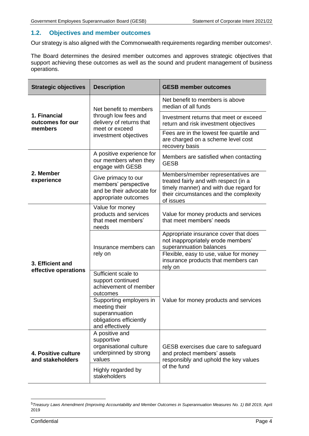# <span id="page-4-0"></span>**1.2. Objectives and member outcomes**

Our strategy is also aligned with the Commonwealth requirements regarding member outcomes<sup>5</sup>.

The Board determines the desired member outcomes and approves strategic objectives that support achieving these outcomes as well as the sound and prudent management of business operations.

| <b>Strategic objectives</b>                 | <b>Description</b>                                                                                       | <b>GESB member outcomes</b>                                                                                                                                                  |  |
|---------------------------------------------|----------------------------------------------------------------------------------------------------------|------------------------------------------------------------------------------------------------------------------------------------------------------------------------------|--|
|                                             | Net benefit to members                                                                                   | Net benefit to members is above<br>median of all funds                                                                                                                       |  |
| 1. Financial<br>outcomes for our<br>members | through low fees and<br>delivery of returns that<br>meet or exceed<br>investment objectives              | Investment returns that meet or exceed<br>return and risk investment objectives                                                                                              |  |
|                                             |                                                                                                          | Fees are in the lowest fee quartile and<br>are charged on a scheme level cost<br>recovery basis                                                                              |  |
|                                             | A positive experience for<br>our members when they<br>engage with GESB                                   | Members are satisfied when contacting<br><b>GESB</b>                                                                                                                         |  |
| 2. Member<br>experience                     | Give primacy to our<br>members' perspective<br>and be their advocate for<br>appropriate outcomes         | Members/member representatives are<br>treated fairly and with respect (in a<br>timely manner) and with due regard for<br>their circumstances and the complexity<br>of issues |  |
|                                             | Value for money<br>products and services<br>that meet members'<br>needs                                  | Value for money products and services<br>that meet members' needs                                                                                                            |  |
|                                             | Insurance members can<br>rely on                                                                         | Appropriate insurance cover that does<br>not inappropriately erode members'<br>superannuation balances                                                                       |  |
| 3. Efficient and<br>effective operations    |                                                                                                          | Flexible, easy to use, value for money<br>insurance products that members can<br>rely on                                                                                     |  |
|                                             | Sufficient scale to<br>support continued<br>achievement of member<br>outcomes                            |                                                                                                                                                                              |  |
|                                             | Supporting employers in<br>meeting their<br>superannuation<br>obligations efficiently<br>and effectively | Value for money products and services                                                                                                                                        |  |
| 4. Positive culture<br>and stakeholders     | A positive and<br>supportive<br>organisational culture<br>underpinned by strong<br>values                | GESB exercises due care to safeguard<br>and protect members' assets<br>responsibly and uphold the key values<br>of the fund                                                  |  |
|                                             | Highly regarded by<br>stakeholders                                                                       |                                                                                                                                                                              |  |

<sup>&</sup>lt;sup>5</sup> Treasury Laws Amendment (Improving Accountability and Member Outcomes in Superannuation Measures No. 1) Bill 2019, April 2019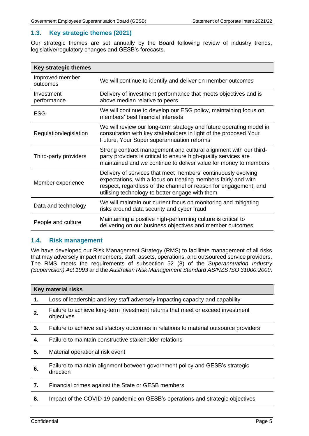# <span id="page-5-0"></span>**1.3. Key strategic themes (2021)**

Our strategic themes are set annually by the Board following review of industry trends, legislative/regulatory changes and GESB's forecasts.

| Key strategic themes        |                                                                                                                                                                                                                                                        |  |  |
|-----------------------------|--------------------------------------------------------------------------------------------------------------------------------------------------------------------------------------------------------------------------------------------------------|--|--|
| Improved member<br>outcomes | We will continue to identify and deliver on member outcomes                                                                                                                                                                                            |  |  |
| Investment<br>performance   | Delivery of investment performance that meets objectives and is<br>above median relative to peers                                                                                                                                                      |  |  |
| <b>ESG</b>                  | We will continue to develop our ESG policy, maintaining focus on<br>members' best financial interests                                                                                                                                                  |  |  |
| Regulation/legislation      | We will review our long-term strategy and future operating model in<br>consultation with key stakeholders in light of the proposed Your<br>Future, Your Super superannuation reforms                                                                   |  |  |
| Third-party providers       | Strong contract management and cultural alignment with our third-<br>party providers is critical to ensure high-quality services are<br>maintained and we continue to deliver value for money to members                                               |  |  |
| Member experience           | Delivery of services that meet members' continuously evolving<br>expectations, with a focus on treating members fairly and with<br>respect, regardless of the channel or reason for engagement, and<br>utilising technology to better engage with them |  |  |
| Data and technology         | We will maintain our current focus on monitoring and mitigating<br>risks around data security and cyber fraud                                                                                                                                          |  |  |
| People and culture          | Maintaining a positive high-performing culture is critical to<br>delivering on our business objectives and member outcomes                                                                                                                             |  |  |

# <span id="page-5-1"></span>**1.4. Risk management**

We have developed our Risk Management Strategy (RMS) to facilitate management of all risks that may adversely impact members, staff, assets, operations, and outsourced service providers. The RMS meets the requirements of subsection 52 (8) of the *Superannuation Industry (Supervision) Act 1993* and the *Australian Risk Management Standard AS/NZS ISO 31000:2009*.

| <b>Key material risks</b> |                                                                                              |  |
|---------------------------|----------------------------------------------------------------------------------------------|--|
| 1.                        | Loss of leadership and key staff adversely impacting capacity and capability                 |  |
| 2.                        | Failure to achieve long-term investment returns that meet or exceed investment<br>objectives |  |
| 3.                        | Failure to achieve satisfactory outcomes in relations to material outsource providers        |  |
| 4.                        | Failure to maintain constructive stakeholder relations                                       |  |
| 5.                        | Material operational risk event                                                              |  |
| 6.                        | Failure to maintain alignment between government policy and GESB's strategic<br>direction    |  |
| 7.                        | Financial crimes against the State or GESB members                                           |  |
| 8.                        | Impact of the COVID-19 pandemic on GESB's operations and strategic objectives                |  |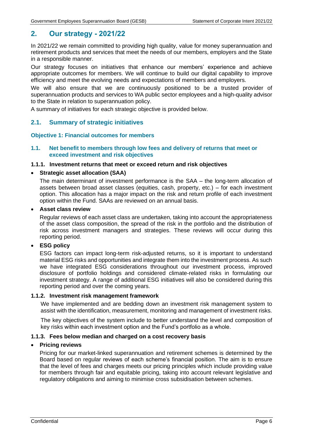# <span id="page-6-0"></span>**2. Our strategy - 2021/22**

In 2021/22 we remain committed to providing high quality, value for money superannuation and retirement products and services that meet the needs of our members, employers and the State in a responsible manner.

Our strategy focuses on initiatives that enhance our members' experience and achieve appropriate outcomes for members. We will continue to build our digital capability to improve efficiency and meet the evolving needs and expectations of members and employers.

We will also ensure that we are continuously positioned to be a trusted provider of superannuation products and services to WA public sector employees and a high-quality advisor to the State in relation to superannuation policy.

A summary of initiatives for each strategic objective is provided below.

# <span id="page-6-1"></span>**2.1. Summary of strategic initiatives**

#### **Objective 1: Financial outcomes for members**

#### **1.1. Net benefit to members through low fees and delivery of returns that meet or exceed investment and risk objectives**

#### **1.1.1. Investment returns that meet or exceed return and risk objectives**

#### • **Strategic asset allocation (SAA)**

The main determinant of investment performance is the SAA – the long-term allocation of assets between broad asset classes (equities, cash, property, etc.) – for each investment option. This allocation has a major impact on the risk and return profile of each investment option within the Fund. SAAs are reviewed on an annual basis.

#### • **Asset class review**

Regular reviews of each asset class are undertaken, taking into account the appropriateness of the asset class composition, the spread of the risk in the portfolio and the distribution of risk across investment managers and strategies. These reviews will occur during this reporting period.

## • **ESG policy**

ESG factors can impact long-term risk-adjusted returns, so it is important to understand material ESG risks and opportunities and integrate them into the investment process. As such we have integrated ESG considerations throughout our investment process, improved disclosure of portfolio holdings and considered climate-related risks in formulating our investment strategy. A range of additional ESG initiatives will also be considered during this reporting period and over the coming years.

# **1.1.2. Investment risk management framework**

We have implemented and are bedding down an investment risk management system to assist with the identification, measurement, monitoring and management of investment risks.

The key objectives of the system include to better understand the level and composition of key risks within each investment option and the Fund's portfolio as a whole.

#### **1.1.3. Fees below median and charged on a cost recovery basis**

#### • **Pricing reviews**

Pricing for our market-linked superannuation and retirement schemes is determined by the Board based on regular reviews of each scheme's financial position. The aim is to ensure that the level of fees and charges meets our pricing principles which include providing value for members through fair and equitable pricing, taking into account relevant legislative and regulatory obligations and aiming to minimise cross subsidisation between schemes.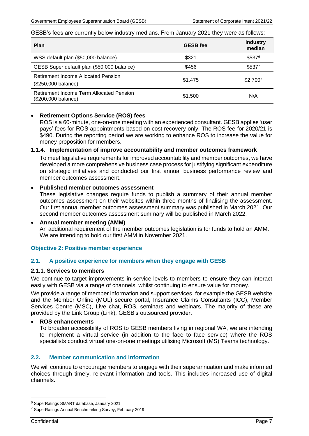#### GESB's fees are currently below industry medians. From January 2021 they were as follows:

| <b>Plan</b>                                                     | <b>GESB</b> fee | <b>Industry</b><br>median |
|-----------------------------------------------------------------|-----------------|---------------------------|
| WSS default plan (\$50,000 balance)                             | \$321           | \$5376                    |
| GESB Super default plan (\$50,000 balance)                      | \$456           | \$5377                    |
| Retirement Income Allocated Pension<br>(\$250,000 balance)      | \$1,475         | \$2,7007                  |
| Retirement Income Term Allocated Pension<br>(\$200,000 balance) | \$1,500         | N/A                       |

## • **Retirement Options Service (ROS) fees**

ROS is a 60-minute, one-on-one meeting with an experienced consultant. GESB applies 'user pays' fees for ROS appointments based on cost recovery only. The ROS fee for 2020/21 is \$490. During the reporting period we are working to enhance ROS to increase the value for money proposition for members.

#### **1.1.4. Implementation of improve accountability and member outcomes framework**

To meet legislative requirements for improved accountability and member outcomes, we have developed a more comprehensive business case process for justifying significant expenditure on strategic initiatives and conducted our first annual business performance review and member outcomes assessment.

## • **Published member outcomes assessment**

These legislative changes require funds to publish a summary of their annual member outcomes assessment on their websites within three months of finalising the assessment. Our first annual member outcomes assessment summary was published in March 2021. Our second member outcomes assessment summary will be published in March 2022.

#### • **Annual member meeting (AMM)**

An additional requirement of the member outcomes legislation is for funds to hold an AMM. We are intending to hold our first AMM in November 2021.

## **Objective 2: Positive member experience**

## **2.1. A positive experience for members when they engage with GESB**

#### **2.1.1. Services to members**

We continue to target improvements in service levels to members to ensure they can interact easily with GESB via a range of channels, whilst continuing to ensure value for money.

We provide a range of member information and support services, for example the GESB website and the Member Online (MOL) secure portal, Insurance Claims Consultants (ICC), Member Services Centre (MSC), Live chat, ROS, seminars and webinars. The majority of these are provided by the Link Group (Link), GESB's outsourced provider.

#### • **ROS enhancements**

To broaden accessibility of ROS to GESB members living in regional WA, we are intending to implement a virtual service (in addition to the face to face service) where the ROS specialists conduct virtual one-on-one meetings utilising Microsoft (MS) Teams technology.

## **2.2. Member communication and information**

We will continue to encourage members to engage with their superannuation and make informed choices through timely, relevant information and tools. This includes increased use of digital channels.

<sup>6</sup> SuperRatings SMART database, January 2021

<sup>&</sup>lt;sup>7</sup> SuperRatings Annual Benchmarking Survey, February 2019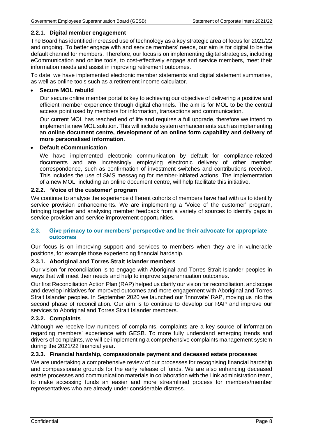## **2.2.1. Digital member engagement**

The Board has identified increased use of technology as a key strategic area of focus for 2021/22 and ongoing. To better engage with and service members' needs, our aim is for digital to be the default channel for members. Therefore, our focus is on implementing digital strategies, including eCommunication and online tools, to cost-effectively engage and service members, meet their information needs and assist in improving retirement outcomes.

To date, we have implemented electronic member statements and digital statement summaries, as well as online tools such as a retirement income calculator.

#### • **Secure MOL rebuild**

Our secure online member portal is key to achieving our objective of delivering a positive and efficient member experience through digital channels. The aim is for MOL to be the central access point used by members for information, transactions and communication.

Our current MOL has reached end of life and requires a full upgrade, therefore we intend to implement a new MOL solution. This will include system enhancements such as implementing an **online document centre, development of an online form capability and delivery of more personalised information**.

#### • **Default eCommunication**

We have implemented electronic communication by default for compliance-related documents and are increasingly employing electronic delivery of other member correspondence, such as confirmation of investment switches and contributions received. This includes the use of SMS messaging for member-initiated actions. The implementation of a new MOL, including an online document centre, will help facilitate this initiative.

## **2.2.2. 'Voice of the customer' program**

We continue to analyse the experience different cohorts of members have had with us to identify service provision enhancements. We are implementing a 'Voice of the customer' program, bringing together and analysing member feedback from a variety of sources to identify gaps in service provision and service improvement opportunities.

## **2.3. Give primacy to our members' perspective and be their advocate for appropriate outcomes**

Our focus is on improving support and services to members when they are in vulnerable positions, for example those experiencing financial hardship.

## **2.3.1. Aboriginal and Torres Strait Islander members**

Our vision for reconciliation is to engage with Aboriginal and Torres Strait Islander peoples in ways that will meet their needs and help to improve superannuation outcomes.

Our first Reconciliation Action Plan (RAP) helped us clarify our vision for reconciliation, and scope and develop initiatives for improved outcomes and more engagement with Aboriginal and Torres Strait Islander peoples. In September 2020 we launched our 'Innovate' RAP, moving us into the second phase of reconciliation. Our aim is to continue to develop our RAP and improve our services to Aboriginal and Torres Strait Islander members.

## **2.3.2. Complaints**

Although we receive low numbers of complaints, complaints are a key source of information regarding members' experience with GESB. To more fully understand emerging trends and drivers of complaints, we will be implementing a comprehensive complaints management system during the 2021/22 financial year.

# **2.3.3. Financial hardship, compassionate payment and deceased estate processes**

We are undertaking a comprehensive review of our processes for recognising financial hardship and compassionate grounds for the early release of funds. We are also enhancing deceased estate processes and communication materials in collaboration with the Link administration team, to make accessing funds an easier and more streamlined process for members/member representatives who are already under considerable distress.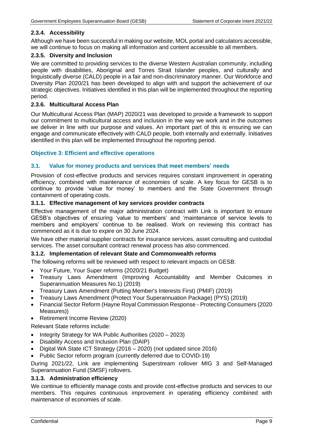# **2.3.4. Accessibility**

Although we have been successful in making our website, MOL portal and calculators accessible, we will continue to focus on making all information and content accessible to all members.

# **2.3.5. Diversity and Inclusion**

We are committed to providing services to the diverse Western Australian community, including people with disabilities, Aboriginal and Torres Strait Islander peoples, and culturally and linguistically diverse (CALD) people in a fair and non-discriminatory manner. Our Workforce and Diversity Plan 2020/21 has been developed to align with and support the achievement of our strategic objectives. Initiatives identified in this plan will be implemented throughout the reporting period.

# **2.3.6. Multicultural Access Plan**

Our Multicultural Access Plan (MAP) 2020/21 was developed to provide a framework to support our commitment to multicultural access and inclusion in the way we work and in the outcomes we deliver in line with our purpose and values. An important part of this is ensuring we can engage and communicate effectively with CALD people, both internally and externally. Initiatives identified in this plan will be implemented throughout the reporting period.

# **Objective 3: Efficient and effective operations**

# **3.1. Value for money products and services that meet members' needs**

Provision of cost-effective products and services requires constant improvement in operating efficiency, combined with maintenance of economies of scale. A key focus for GESB is to continue to provide 'value for money' to members and the State Government through containment of operating costs.

## **3.1.1. Effective management of key services provider contracts**

Effective management of the major administration contract with Link is important to ensure GESB's objectives of ensuring 'value to members' and 'maintenance of service levels to members and employers' continue to be realised. Work on reviewing this contract has commenced as it is due to expire on 30 June 2024.

We have other material supplier contracts for insurance services, asset consulting and custodial services. The asset consultant contract renewal process has also commenced.

## **3.1.2. Implementation of relevant State and Commonwealth reforms**

The following reforms will be reviewed with respect to relevant impacts on GESB:

- Your Future, Your Super reforms (2020/21 Budget)
- Treasury Laws Amendment (Improving Accountability and Member Outcomes in Superannuation Measures No.1) (2019)
- Treasury Laws Amendment (Putting Member's Interests First) (PMIF) (2019)
- Treasury Laws Amendment (Protect Your Superannuation Package) (PYS) (2019)
- Financial Sector Reform (Hayne Royal Commission Response Protecting Consumers (2020 Measures))
- Retirement Income Review (2020)

Relevant State reforms include:

- Integrity Strategy for WA Public Authorities (2020 2023)
- Disability Access and Inclusion Plan (DAIP)
- Digital WA State ICT Strategy (2016 2020) (not updated since 2016)
- Public Sector reform program (currently deferred due to COVID-19)

During 2021/22, Link are implementing Superstream rollover MIG 3 and Self-Managed Superannuation Fund (SMSF) rollovers.

## **3.1.3. Administration efficiency**

We continue to efficiently manage costs and provide cost-effective products and services to our members. This requires continuous improvement in operating efficiency combined with maintenance of economies of scale.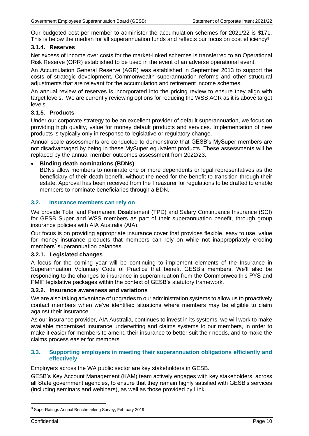Our budgeted cost per member to administer the accumulation schemes for 2021/22 is \$171. This is below the median for all superannuation funds and reflects our focus on cost efficiency<sup>8</sup>.

## **3.1.4. Reserves**

Net excess of income over costs for the market-linked schemes is transferred to an Operational Risk Reserve (ORR) established to be used in the event of an adverse operational event.

An Accumulation General Reserve (AGR) was established in September 2013 to support the costs of strategic development, Commonwealth superannuation reforms and other structural adjustments that are relevant for the accumulation and retirement income schemes.

An annual review of reserves is incorporated into the pricing review to ensure they align with target levels. We are currently reviewing options for reducing the WSS AGR as it is above target levels.

## **3.1.5. Products**

Under our corporate strategy to be an excellent provider of default superannuation, we focus on providing high quality, value for money default products and services. Implementation of new products is typically only in response to legislative or regulatory change.

Annual scale assessments are conducted to demonstrate that GESB's MySuper members are not disadvantaged by being in these MySuper equivalent products. These assessments will be replaced by the annual member outcomes assessment from 2022/23.

#### • **Binding death nominations (BDNs)**

BDNs allow members to nominate one or more dependents or legal representatives as the beneficiary of their death benefit, without the need for the benefit to transition through their estate. Approval has been received from the Treasurer for regulations to be drafted to enable members to nominate beneficiaries through a BDN.

#### **3.2. Insurance members can rely on**

We provide Total and Permanent Disablement (TPD) and Salary Continuance Insurance (SCI) for GESB Super and WSS members as part of their superannuation benefit, through group insurance policies with AIA Australia (AIA).

Our focus is on providing appropriate insurance cover that provides flexible, easy to use, value for money insurance products that members can rely on while not inappropriately eroding members' superannuation balances.

#### **3.2.1. Legislated changes**

A focus for the coming year will be continuing to implement elements of the Insurance in Superannuation Voluntary Code of Practice that benefit GESB's members. We'll also be responding to the changes to insurance in superannuation from the Commonwealth's PYS and PMIF legislative packages within the context of GESB's statutory framework.

#### **3.2.2. Insurance awareness and variations**

We are also taking advantage of upgrades to our administration systems to allow us to proactively contact members when we've identified situations where members may be eligible to claim against their insurance.

As our insurance provider, AIA Australia, continues to invest in its systems, we will work to make available modernised insurance underwriting and claims systems to our members, in order to make it easier for members to amend their insurance to better suit their needs, and to make the claims process easier for members.

#### **3.3. Supporting employers in meeting their superannuation obligations efficiently and effectively**

Employers across the WA public sector are key stakeholders in GESB.

GESB's Key Account Management (KAM) team actively engages with key stakeholders, across all State government agencies, to ensure that they remain highly satisfied with GESB's services (including seminars and webinars), as well as those provided by Link.

<sup>8</sup> SuperRatings Annual Benchmarking Survey, February 2019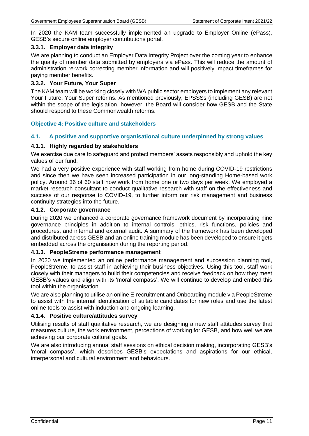In 2020 the KAM team successfully implemented an upgrade to Employer Online (ePass), GESB's secure online employer contributions portal.

## **3.3.1. Employer data integrity**

We are planning to conduct an Employer Data Integrity Project over the coming year to enhance the quality of member data submitted by employers via ePass. This will reduce the amount of administration re-work correcting member information and will positively impact timeframes for paying member benefits.

#### **3.3.2. Your Future, Your Super**

The KAM team will be working closely with WA public sector employers to implement any relevant Your Future, Your Super reforms. As mentioned previously, EPSSSs (including GESB) are not within the scope of the legislation, however, the Board will consider how GESB and the State should respond to these Commonwealth reforms.

## **Objective 4: Positive culture and stakeholders**

#### **4.1. A positive and supportive organisational culture underpinned by strong values**

#### **4.1.1. Highly regarded by stakeholders**

We exercise due care to safeguard and protect members' assets responsibly and uphold the key values of our fund.

We had a very positive experience with staff working from home during COVID-19 restrictions and since then we have seen increased participation in our long-standing Home-based work policy. Around 36 of 60 staff now work from home one or two days per week. We employed a market research consultant to conduct qualitative research with staff on the effectiveness and success of our response to COVID-19, to further inform our risk management and business continuity strategies into the future.

#### **4.1.2. Corporate governance**

During 2020 we enhanced a corporate governance framework document by incorporating nine governance principles in addition to internal controls, ethics, risk functions, policies and procedures, and internal and external audit. A summary of the framework has been developed and distributed across GESB and an online training module has been developed to ensure it gets embedded across the organisation during the reporting period.

#### **4.1.3. PeopleStreme performance management**

In 2020 we implemented an online performance management and succession planning tool, PeopleStreme, to assist staff in achieving their business objectives. Using this tool, staff work closely with their managers to build their competencies and receive feedback on how they meet GESB's values and align with its 'moral compass'. We will continue to develop and embed this tool within the organisation.

We are also planning to utilise an online E-recruitment and Onboarding module via PeopleStreme to assist with the internal identification of suitable candidates for new roles and use the latest online tools to assist with induction and ongoing learning.

#### **4.1.4. Positive culture/attitudes survey**

Utilising results of staff qualitative research, we are designing a new staff attitudes survey that measures culture, the work environment, perceptions of working for GESB, and how well we are achieving our corporate cultural goals.

We are also introducing annual staff sessions on ethical decision making, incorporating GESB's 'moral compass', which describes GESB's expectations and aspirations for our ethical, interpersonal and cultural environment and behaviours.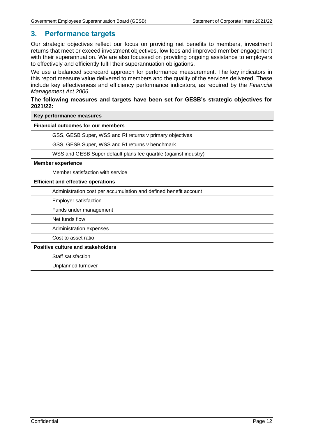# <span id="page-12-0"></span>**3. Performance targets**

Our strategic objectives reflect our focus on providing net benefits to members, investment returns that meet or exceed investment objectives, low fees and improved member engagement with their superannuation. We are also focussed on providing ongoing assistance to employers to effectively and efficiently fulfil their superannuation obligations.

We use a balanced scorecard approach for performance measurement. The key indicators in this report measure value delivered to members and the quality of the services delivered. These include key effectiveness and efficiency performance indicators, as required by the *Financial Management Act 2006.*

#### **The following measures and targets have been set for GESB's strategic objectives for 2021/22:**

**Key performance measures**

**Financial outcomes for our members**

GSS, GESB Super, WSS and RI returns v primary objectives

GSS, GESB Super, WSS and RI returns v benchmark

WSS and GESB Super default plans fee quartile (against industry)

#### **Member experience**

Member satisfaction with service

#### **Efficient and effective operations**

Administration cost per accumulation and defined benefit account

Employer satisfaction

Funds under management

Net funds flow

Administration expenses

Cost to asset ratio

**Positive culture and stakeholders**

Staff satisfaction

Unplanned turnover